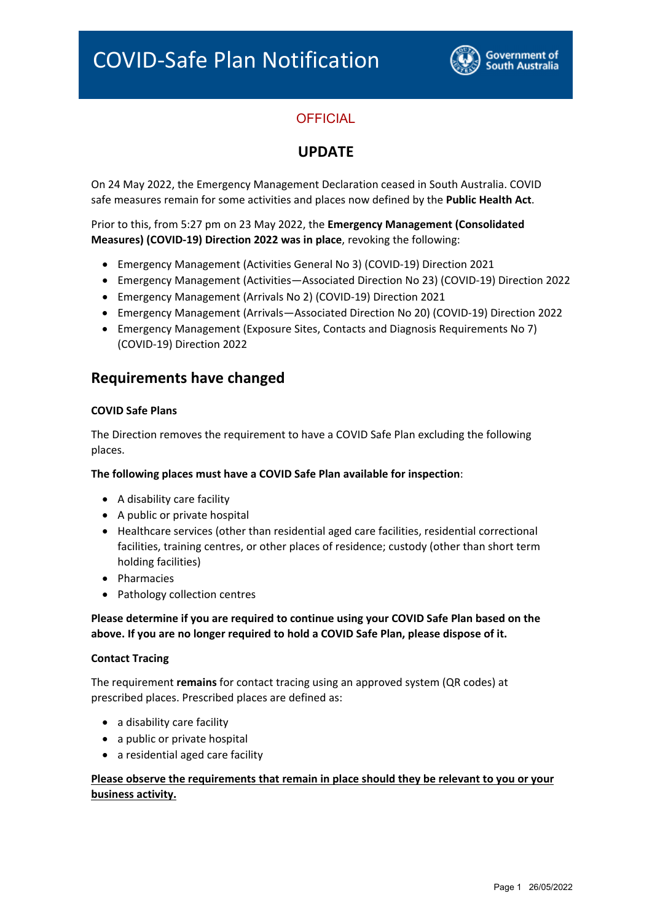

# **OFFICIAL**

## **UPDATE**

On 24 May 2022, the Emergency Management Declaration ceased in South Australia. COVID safe measures remain for some activities and places now defined by the **Public Health Act**.

Prior to this, from 5:27 pm on 23 May 2022, the **Emergency Management (Consolidated Measures) (COVID‐19) Direction 2022 was in place**, revoking the following:

- Emergency Management (Activities General No 3) (COVID‐19) Direction 2021
- Emergency Management (Activities—Associated Direction No 23) (COVID‐19) Direction 2022
- Emergency Management (Arrivals No 2) (COVID‐19) Direction 2021
- Emergency Management (Arrivals—Associated Direction No 20) (COVID‐19) Direction 2022
- Emergency Management (Exposure Sites, Contacts and Diagnosis Requirements No 7) (COVID‐19) Direction 2022

### **Requirements have changed**

### **COVID Safe Plans**

The Direction removes the requirement to have a COVID Safe Plan excluding the following places.

#### **The following places must have a COVID Safe Plan available for inspection**:

- A disability care facility
- A public or private hospital
- Healthcare services (other than residential aged care facilities, residential correctional facilities, training centres, or other places of residence; custody (other than short term holding facilities)
- Pharmacies
- Pathology collection centres

**Please determine if you are required to continue using your COVID Safe Plan based on the above. If you are no longer required to hold a COVID Safe Plan, please dispose of it.** 

#### **Contact Tracing**

The requirement **remains** for contact tracing using an approved system (QR codes) at prescribed places. Prescribed places are defined as:

- a disability care facility
- a public or private hospital
- a residential aged care facility

### **Please observe the requirements that remain in place should they be relevant to you or your business activity.**